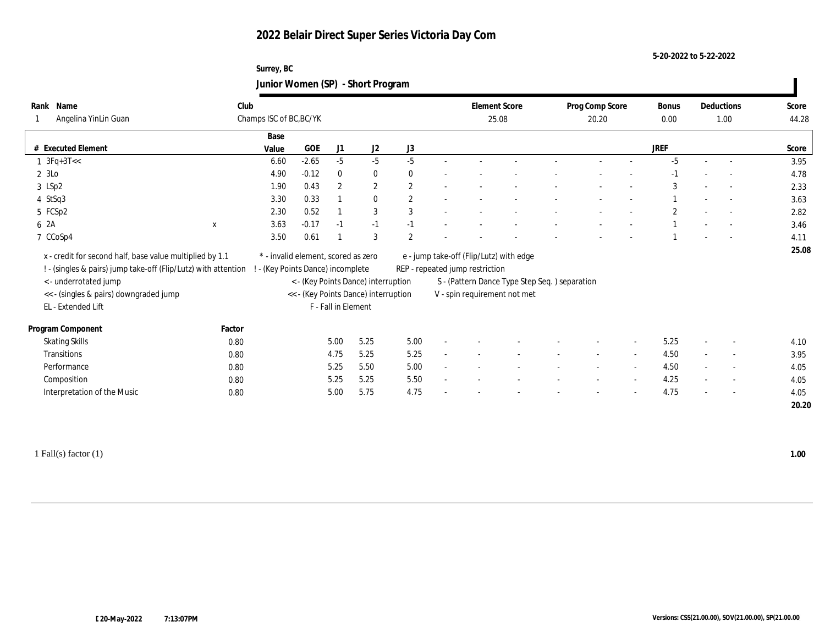#### **Surrey, BC Junior Women (SP) - Short Program**

| Name<br>Rank                                                     | Club                    |                                     |                     |                                      |                | <b>Element Score</b>            |                                                | Prog Comp Score |                          | Bonus       | Deductions |                          | Score |
|------------------------------------------------------------------|-------------------------|-------------------------------------|---------------------|--------------------------------------|----------------|---------------------------------|------------------------------------------------|-----------------|--------------------------|-------------|------------|--------------------------|-------|
| Angelina YinLin Guan                                             | Champs ISC of BC, BC/YK |                                     |                     |                                      |                |                                 | 25.08                                          | 20.20           |                          | 0.00        |            | 1.00                     | 44.28 |
|                                                                  | Base                    |                                     |                     |                                      |                |                                 |                                                |                 |                          |             |            |                          |       |
| # Executed Element                                               | Value                   | GOE                                 | J1                  | J2                                   | J3             |                                 |                                                |                 |                          | <b>JREF</b> |            |                          | Score |
| $1 \text{ } 3Fq+3T<<$                                            | 6.60                    | $-2.65$                             | $-5$                | $-5$                                 | $-5$           |                                 |                                                |                 |                          | $-5$        | $\sim$     | $\sim$                   | 3.95  |
| 2 3Lo                                                            | 4.90                    | $-0.12$                             | $\bf{0}$            | $\bf{0}$                             | $\theta$       |                                 |                                                |                 |                          |             |            |                          | 4.78  |
| 3 LSp2                                                           | 1.90                    | 0.43                                | $\mathbf{2}$        | $\boldsymbol{2}$                     | $\mathbf{2}$   |                                 |                                                |                 |                          | 3           |            | $\overline{\phantom{a}}$ | 2.33  |
| $4$ StSq3                                                        | 3.30                    | 0.33                                |                     | $\mathbf{0}$                         | $\mathbf{2}$   |                                 |                                                |                 |                          |             |            | $\overline{\phantom{a}}$ | 3.63  |
| 5 FCSp2                                                          | 2.30                    | 0.52                                |                     | 3                                    | 3              |                                 |                                                |                 |                          |             |            |                          | 2.82  |
| 6 2A<br>$\mathbf X$                                              | 3.63                    | $-0.17$                             | $-1$                | $-1$                                 | $-1$           |                                 |                                                |                 |                          |             |            | $\overline{a}$           | 3.46  |
| 7 CCoSp4                                                         | 3.50                    | 0.61                                |                     | 3                                    | $\overline{2}$ |                                 |                                                |                 |                          |             |            | $\overline{\phantom{a}}$ | 4.11  |
| x - credit for second half, base value multiplied by 1.1         |                         | * - invalid element, scored as zero |                     |                                      |                |                                 | e - jump take-off (Flip/Lutz) with edge        |                 |                          |             |            |                          | 25.08 |
| ! - (singles & pairs) jump take-off (Flip/Lutz) with attention ! |                         | - (Key Points Dance) incomplete     |                     |                                      |                | REP - repeated jump restriction |                                                |                 |                          |             |            |                          |       |
| < - underrotated jump                                            |                         |                                     |                     | < - (Key Points Dance) interruption  |                |                                 | S - (Pattern Dance Type Step Seq. ) separation |                 |                          |             |            |                          |       |
| << - (singles & pairs) downgraded jump                           |                         |                                     |                     | << - (Key Points Dance) interruption |                |                                 | V - spin requirement not met                   |                 |                          |             |            |                          |       |
| EL - Extended Lift                                               |                         |                                     | F - Fall in Element |                                      |                |                                 |                                                |                 |                          |             |            |                          |       |
| Program Component                                                | Factor                  |                                     |                     |                                      |                |                                 |                                                |                 |                          |             |            |                          |       |
| <b>Skating Skills</b>                                            | 0.80                    |                                     | 5.00                | 5.25                                 | 5.00           |                                 |                                                |                 |                          | 5.25        |            | $\overline{\phantom{a}}$ | 4.10  |
| Transitions                                                      | 0.80                    |                                     | 4.75                | 5.25                                 | 5.25           |                                 |                                                | $\sim$          | $\sim$                   | 4.50        |            | $\sim$                   | 3.95  |
| Performance                                                      | 0.80                    |                                     | 5.25                | 5.50                                 | 5.00           |                                 |                                                |                 |                          | 4.50        |            | $\overline{\phantom{a}}$ | 4.05  |
| Composition                                                      | 0.80                    |                                     | 5.25                | 5.25                                 | 5.50           |                                 |                                                |                 |                          | 4.25        |            | $\overline{\phantom{a}}$ | 4.05  |
| Interpretation of the Music                                      | 0.80                    |                                     | 5.00                | 5.75                                 | 4.75           |                                 |                                                |                 | $\overline{\phantom{a}}$ | 4.75        |            | $\sim$                   | 4.05  |
|                                                                  |                         |                                     |                     |                                      |                |                                 |                                                |                 |                          |             |            |                          | 20.20 |

1 Fall(s) factor (1) **1.00**

 $\blacksquare$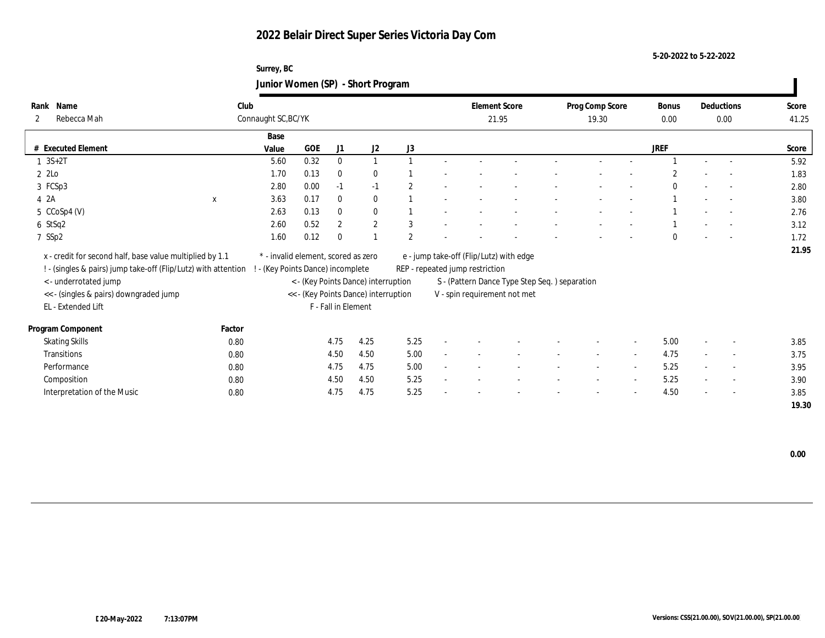#### **Surrey, BC Junior Women (SP) - Short Program**

|                                                                |                     |                                     |                     |                                      | ັ             |                                 |                                               |                          |                          |                |                          |                          |       |
|----------------------------------------------------------------|---------------------|-------------------------------------|---------------------|--------------------------------------|---------------|---------------------------------|-----------------------------------------------|--------------------------|--------------------------|----------------|--------------------------|--------------------------|-------|
| Name<br>Rank                                                   | Club                |                                     |                     |                                      |               | <b>Element Score</b>            |                                               | Prog Comp Score          |                          | Bonus          |                          | Deductions               | Score |
| Rebecca Mah<br>$\mathbf{2}$                                    | Connaught SC, BC/YK |                                     |                     |                                      |               |                                 | 21.95                                         | 19.30                    |                          | $0.00\,$       |                          | 0.00                     | 41.25 |
|                                                                | Base                |                                     |                     |                                      |               |                                 |                                               |                          |                          |                |                          |                          |       |
| # Executed Element                                             | Value               | GOE                                 | J1                  | J2                                   | J3            |                                 |                                               |                          |                          | <b>JREF</b>    |                          |                          | Score |
| $1 \, 3S + 2T$                                                 | 5.60                | 0.32                                | $\mathbf{0}$        | $\mathbf{1}$                         |               |                                 |                                               |                          |                          |                |                          |                          | 5.92  |
| 2 2Lo                                                          | 1.70                | 0.13                                | $\bf{0}$            | $\bf{0}$                             |               |                                 |                                               |                          |                          | $\overline{c}$ |                          |                          | 1.83  |
| 3 FCSp3                                                        | 2.80                | 0.00                                | $-1$                | $-1$                                 | 2             |                                 |                                               |                          |                          | $\theta$       | $\overline{\phantom{a}}$ | $\overline{a}$           | 2.80  |
| 4 2A<br>$\mathbf x$                                            | 3.63                | 0.17                                | $\bf{0}$            | $\bf{0}$                             |               |                                 |                                               |                          |                          |                |                          | $\sim$                   | 3.80  |
| $5 \text{CCoSp4 (V)}$                                          | 2.63                | 0.13                                | $\mathbf{0}$        | $\mathbf{0}$                         |               |                                 |                                               |                          |                          |                |                          | $\overline{a}$           | 2.76  |
| $6$ StSq2                                                      | 2.60                | 0.52                                | $\overline{2}$      | $\mathbf{2}$                         | 3             |                                 |                                               |                          |                          |                |                          |                          | 3.12  |
| 7 SSp2                                                         | 1.60                | 0.12                                | $\Omega$            |                                      | $\mathcal{P}$ |                                 |                                               |                          |                          | $\Omega$       |                          | $\overline{a}$           | 1.72  |
| x - credit for second half, base value multiplied by 1.1       |                     | * - invalid element, scored as zero |                     |                                      |               |                                 | e - jump take-off (Flip/Lutz) with edge       |                          |                          |                |                          |                          | 21.95 |
| ! - (singles & pairs) jump take-off (Flip/Lutz) with attention |                     | (Key Points Dance) incomplete       |                     |                                      |               | REP - repeated jump restriction |                                               |                          |                          |                |                          |                          |       |
| < - underrotated jump                                          |                     |                                     |                     | < - (Key Points Dance) interruption  |               |                                 | S - (Pattern Dance Type Step Seq.) separation |                          |                          |                |                          |                          |       |
| << - (singles & pairs) downgraded jump                         |                     |                                     |                     | << - (Key Points Dance) interruption |               |                                 | V - spin requirement not met                  |                          |                          |                |                          |                          |       |
| EL - Extended Lift                                             |                     |                                     | F - Fall in Element |                                      |               |                                 |                                               |                          |                          |                |                          |                          |       |
|                                                                |                     |                                     |                     |                                      |               |                                 |                                               |                          |                          |                |                          |                          |       |
| Program Component                                              | Factor              |                                     |                     |                                      |               |                                 |                                               |                          |                          |                |                          |                          |       |
| <b>Skating Skills</b>                                          | 0.80                |                                     | 4.75                | 4.25                                 | 5.25          |                                 |                                               |                          |                          | 5.00           |                          |                          | 3.85  |
| Transitions                                                    | 0.80                |                                     | 4.50                | 4.50                                 | 5.00          |                                 |                                               |                          |                          | 4.75           |                          | $\overline{\phantom{a}}$ | 3.75  |
| Performance                                                    | 0.80                |                                     | 4.75                | 4.75                                 | 5.00          |                                 |                                               |                          | $\overline{\phantom{a}}$ | 5.25           |                          | $\overline{\phantom{a}}$ | 3.95  |
| Composition                                                    | 0.80                |                                     | 4.50                | 4.50                                 | 5.25          |                                 |                                               |                          |                          | 5.25           |                          | $\overline{\phantom{a}}$ | 3.90  |
| Interpretation of the Music                                    | 0.80                |                                     | 4.75                | 4.75                                 | 5.25          |                                 |                                               | $\overline{\phantom{a}}$ | $\sim$                   | 4.50           | $\sim$                   | $\sim$                   | 3.85  |
|                                                                |                     |                                     |                     |                                      |               |                                 |                                               |                          |                          |                |                          |                          | 19.30 |

 $\blacksquare$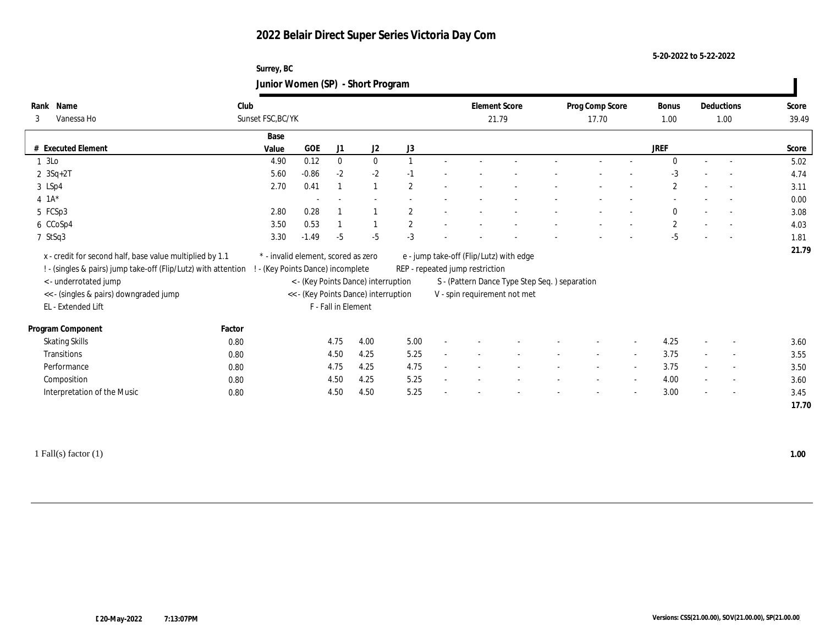**Surrey, BC Junior Women (SP) - Short Program**

| Name<br>Rank                                                   | Club              |                                     |                     |                                      |                | <b>Element Score</b>            |                                               | Prog Comp Score | <b>Bonus</b>   | Deductions     | Score |
|----------------------------------------------------------------|-------------------|-------------------------------------|---------------------|--------------------------------------|----------------|---------------------------------|-----------------------------------------------|-----------------|----------------|----------------|-------|
| Vanessa Ho<br>3                                                | Sunset FSC, BC/YK |                                     |                     |                                      |                | 21.79                           |                                               | 17.70           | 1.00           | 1.00           | 39.49 |
|                                                                | Base              |                                     |                     |                                      |                |                                 |                                               |                 |                |                |       |
| # Executed Element                                             | Value             | $\rm GOE$                           | J1                  | $\mathrm{J}2$                        | J3             |                                 |                                               |                 | <b>JREF</b>    |                | Score |
| 1 3Lo                                                          | 4.90              | 0.12                                | $\mathbf{0}$        | $\bf{0}$                             |                |                                 |                                               |                 | $\mathbf{0}$   |                | 5.02  |
| $2 \ 3Sq + 2T$                                                 | 5.60              | $-0.86$                             | $-2$                | $-2$                                 | $-1$           |                                 |                                               |                 | $-3$           |                | 4.74  |
| 3 LSp4                                                         | 2.70              | 0.41                                |                     |                                      | $\mathbf{2}$   |                                 |                                               |                 | $\mathbf{2}$   |                | 3.11  |
| $4 \t1A*$                                                      |                   |                                     |                     |                                      |                |                                 |                                               |                 |                |                | 0.00  |
| 5 FCSp3                                                        | 2.80              | 0.28                                |                     |                                      | $\overline{2}$ |                                 |                                               |                 | $\mathbf{0}$   |                | 3.08  |
| 6 CCoSp4                                                       | 3.50              | 0.53                                |                     |                                      | $\mathbf{2}$   |                                 |                                               |                 | $\overline{2}$ |                | 4.03  |
| 7 StSq3                                                        | 3.30              | $-1.49$                             | $-5$                | $-5$                                 | $-3$           |                                 |                                               |                 | $-5$           |                | 1.81  |
| x - credit for second half, base value multiplied by 1.1       |                   | * - invalid element, scored as zero |                     |                                      |                |                                 | e - jump take-off (Flip/Lutz) with edge       |                 |                |                | 21.79 |
| ! - (singles & pairs) jump take-off (Flip/Lutz) with attention |                   | ! - (Key Points Dance) incomplete   |                     |                                      |                | REP - repeated jump restriction |                                               |                 |                |                |       |
| <- underrotated jump                                           |                   |                                     |                     | < - (Key Points Dance) interruption  |                |                                 | S - (Pattern Dance Type Step Seq.) separation |                 |                |                |       |
| << - (singles & pairs) downgraded jump                         |                   |                                     |                     | << - (Key Points Dance) interruption |                |                                 | V - spin requirement not met                  |                 |                |                |       |
| EL - Extended Lift                                             |                   |                                     | F - Fall in Element |                                      |                |                                 |                                               |                 |                |                |       |
|                                                                |                   |                                     |                     |                                      |                |                                 |                                               |                 |                |                |       |
| Program Component                                              | Factor            |                                     |                     |                                      |                |                                 |                                               |                 |                |                |       |
| <b>Skating Skills</b>                                          | 0.80              |                                     | 4.75                | 4.00                                 | 5.00           |                                 |                                               |                 | 4.25           |                | 3.60  |
| Transitions                                                    | 0.80              |                                     | 4.50                | 4.25                                 | 5.25           |                                 |                                               |                 | 3.75           | $\overline{a}$ | 3.55  |
| Performance                                                    | 0.80              |                                     | 4.75                | 4.25                                 | 4.75           |                                 |                                               |                 | 3.75           | $\sim$         | 3.50  |
| Composition                                                    | 0.80              |                                     | 4.50                | 4.25                                 | 5.25           |                                 |                                               |                 | 4.00           | $\overline{a}$ | 3.60  |
|                                                                |                   |                                     | 4.50                | 4.50                                 | 5.25           |                                 |                                               |                 | 3.00           | $\overline{a}$ | 3.45  |
| Interpretation of the Music                                    | 0.80              |                                     |                     |                                      |                |                                 |                                               |                 |                |                |       |

1 Fall(s) factor (1) **1.00**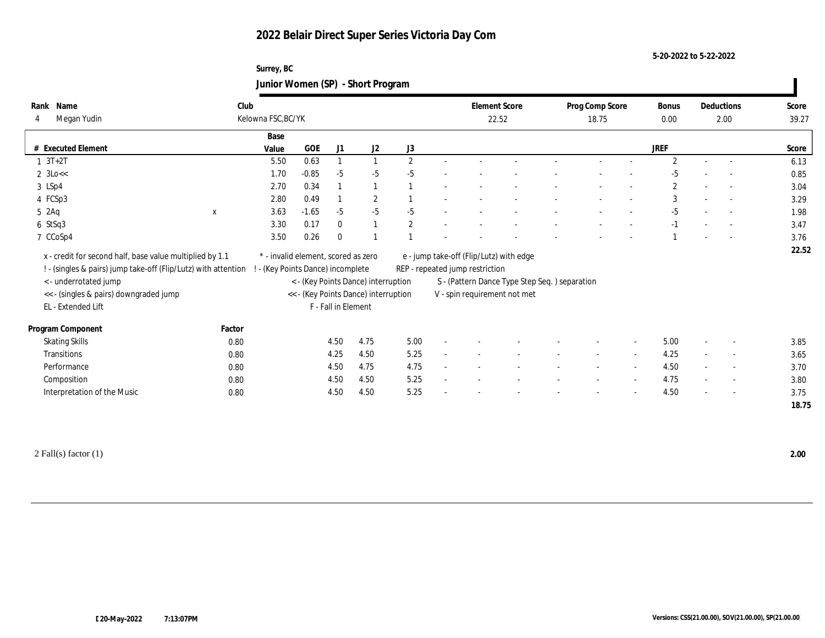#### **Surrey, BC Junior Women (SP) - Short Program**

| Name<br>Rank                                                   | Club        |                                     |         |                     |                                      |                | <b>Element Score</b>            |                                                | Prog Comp Score |                          | Bonus          |        | Deductions               | Score |
|----------------------------------------------------------------|-------------|-------------------------------------|---------|---------------------|--------------------------------------|----------------|---------------------------------|------------------------------------------------|-----------------|--------------------------|----------------|--------|--------------------------|-------|
| Megan Yudin<br>4                                               |             | Kelowna FSC, BC/YK                  |         |                     |                                      |                | 22.52                           |                                                | 18.75           |                          | 0.00           |        | 2.00                     | 39.27 |
|                                                                |             | Base                                |         |                     |                                      |                |                                 |                                                |                 |                          |                |        |                          |       |
| # Executed Element                                             |             | Value                               | GOE     | J1                  | J2                                   | J3             |                                 |                                                |                 |                          | JREF           |        |                          | Score |
| $1 \t3T+2T$                                                    |             | 5.50                                | 0.63    |                     | $\mathbf{1}$                         | $\overline{2}$ |                                 |                                                |                 |                          | $\overline{2}$ |        |                          | 6.13  |
| $2 \text{ 3Lo} <$                                              |             | 1.70                                | $-0.85$ | $-5$                | $-5$                                 | $-5$           |                                 |                                                |                 |                          | $-5$           |        |                          | 0.85  |
| 3 LSp4                                                         |             | 2.70                                | 0.34    |                     | $\overline{1}$                       |                |                                 |                                                |                 |                          | $\mathbf{2}$   |        | $\sim$                   | 3.04  |
| 4 FCSp3                                                        |             | 2.80                                | 0.49    |                     | $\boldsymbol{2}$                     |                |                                 |                                                |                 |                          | 3              |        | $\sim$                   | 3.29  |
| 5 2Aq                                                          | $\mathbf x$ | 3.63                                | $-1.65$ | $-5$                | $-5$                                 | $-5$           |                                 |                                                |                 |                          | $-5$           |        |                          | 1.98  |
| $6$ StSq3                                                      |             | 3.30                                | 0.17    | $\mathbf{0}$        | $\mathbf{1}$                         | $\mathbf{2}$   |                                 |                                                |                 |                          | $-1$           |        |                          | 3.47  |
| 7 CCoSp4                                                       |             | 3.50                                | 0.26    | $\mathbf{0}$        |                                      |                |                                 |                                                |                 |                          |                |        |                          | 3.76  |
| x - credit for second half, base value multiplied by 1.1       |             | * - invalid element, scored as zero |         |                     |                                      |                |                                 | e - jump take-off (Flip/Lutz) with edge        |                 |                          |                |        |                          | 22.52 |
| ! - (singles & pairs) jump take-off (Flip/Lutz) with attention |             | ! - (Key Points Dance) incomplete   |         |                     |                                      |                | REP - repeated jump restriction |                                                |                 |                          |                |        |                          |       |
| < - underrotated jump                                          |             |                                     |         |                     | < - (Key Points Dance) interruption  |                |                                 | S - (Pattern Dance Type Step Seq. ) separation |                 |                          |                |        |                          |       |
| << - (singles & pairs) downgraded jump                         |             |                                     |         |                     | << - (Key Points Dance) interruption |                |                                 | V - spin requirement not met                   |                 |                          |                |        |                          |       |
| EL - Extended Lift                                             |             |                                     |         | F - Fall in Element |                                      |                |                                 |                                                |                 |                          |                |        |                          |       |
|                                                                |             |                                     |         |                     |                                      |                |                                 |                                                |                 |                          |                |        |                          |       |
| Program Component                                              | Factor      |                                     |         |                     |                                      |                |                                 |                                                |                 |                          |                |        |                          |       |
| <b>Skating Skills</b>                                          | 0.80        |                                     |         | 4.50                | 4.75                                 | 5.00           |                                 |                                                |                 |                          | 5.00           |        | $\overline{\phantom{a}}$ | 3.85  |
| Transitions                                                    | 0.80        |                                     |         | 4.25                | 4.50                                 | 5.25           |                                 |                                                |                 | $\overline{\phantom{a}}$ | 4.25           | $\sim$ | $\overline{\phantom{a}}$ | 3.65  |
| Performance                                                    | 0.80        |                                     |         | 4.50                | 4.75                                 | 4.75           |                                 |                                                |                 | $\sim$                   | 4.50           |        | $\overline{\phantom{a}}$ | 3.70  |
| Composition                                                    | 0.80        |                                     |         | 4.50                | 4.50                                 | 5.25           |                                 |                                                | $\sim$          | $\sim$                   | 4.75           |        | $\sim$                   | 3.80  |
| Interpretation of the Music                                    | 0.80        |                                     |         | 4.50                | 4.50                                 | 5.25           |                                 |                                                |                 |                          | 4.50           |        | $\overline{\phantom{0}}$ | 3.75  |
|                                                                |             |                                     |         |                     |                                      |                |                                 |                                                |                 |                          |                |        |                          | 18.75 |

2 Fall(s) factor (1) **2.00**

 $\blacksquare$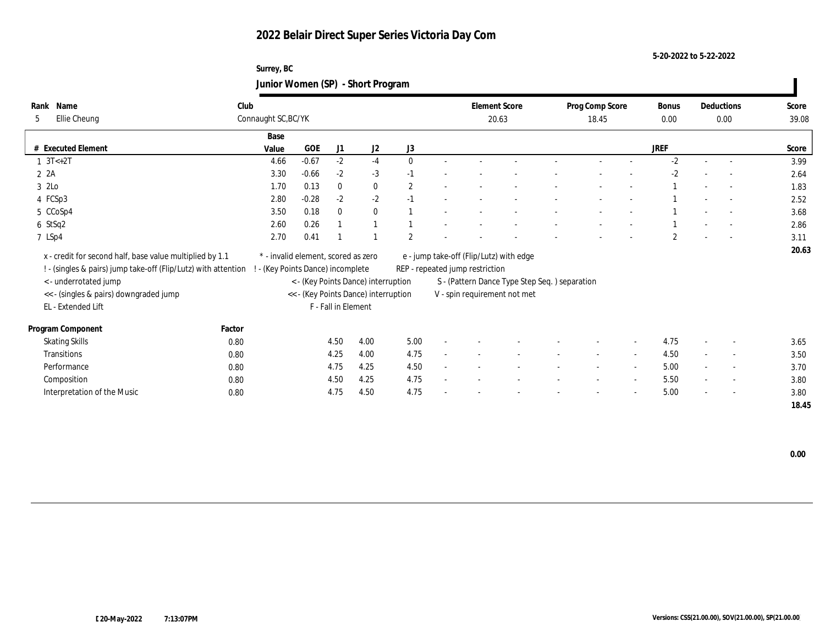**Surrey, BC Junior Women (SP) - Short Program**

| Name<br>Rank                                                   | Club   |                                     |            |                     |                                      |          | <b>Element Score</b>            |                                               | Prog Comp Score          |                          | <b>Bonus</b>   |                          | Deductions               | Score |
|----------------------------------------------------------------|--------|-------------------------------------|------------|---------------------|--------------------------------------|----------|---------------------------------|-----------------------------------------------|--------------------------|--------------------------|----------------|--------------------------|--------------------------|-------|
| Ellie Cheung<br>5                                              |        | Connaught SC, BC/YK                 |            |                     |                                      |          | 20.63                           |                                               | 18.45                    |                          | $0.00\,$       |                          | 0.00                     | 39.08 |
|                                                                |        | Base                                |            |                     |                                      |          |                                 |                                               |                          |                          |                |                          |                          |       |
| # Executed Element                                             |        | Value                               | <b>GOE</b> | J1                  | J2                                   | J3       |                                 |                                               |                          |                          | <b>JREF</b>    |                          |                          | Score |
| $1 \, 3T < +2T$                                                |        | 4.66                                | $-0.67$    | $-2$                | $-4$                                 | $\Omega$ |                                 |                                               |                          |                          | $-2$           |                          | $\sim$                   | 3.99  |
| 2A                                                             |        | 3.30                                | $-0.66$    | $-2$                | $-3$                                 | $-1$     |                                 |                                               |                          |                          | $-2$           |                          |                          | 2.64  |
| 3 2Lo                                                          |        | 1.70                                | 0.13       | $\bf{0}$            | $\bf{0}$                             | 2        |                                 |                                               |                          |                          |                |                          | $\sim$                   | 1.83  |
| 4 FCSp3                                                        |        | 2.80                                | $-0.28$    | $-2$                | $-2$                                 | $-1$     |                                 |                                               |                          |                          |                |                          | $\overline{\phantom{a}}$ | 2.52  |
| 5 CCoSp4                                                       |        | 3.50                                | 0.18       | $\mathbf{0}$        | $\mathbf{0}$                         |          |                                 |                                               |                          |                          |                |                          | $\overline{a}$           | 3.68  |
| 6 StSq2                                                        |        | 2.60                                | 0.26       |                     | $\mathbf{1}$                         |          |                                 |                                               |                          |                          |                |                          | $\sim$                   | 2.86  |
| 7 LSp4                                                         |        | 2.70                                | 0.41       |                     |                                      | 2        |                                 |                                               |                          |                          | $\overline{c}$ |                          | $\sim$                   | 3.11  |
| x - credit for second half, base value multiplied by 1.1       |        | * - invalid element, scored as zero |            |                     |                                      |          |                                 | e - jump take-off (Flip/Lutz) with edge       |                          |                          |                |                          |                          | 20.63 |
| ! - (singles & pairs) jump take-off (Flip/Lutz) with attention |        | (Key Points Dance) incomplete       |            |                     |                                      |          | REP - repeated jump restriction |                                               |                          |                          |                |                          |                          |       |
| < - underrotated jump                                          |        |                                     |            |                     | < - (Key Points Dance) interruption  |          |                                 | S - (Pattern Dance Type Step Seq.) separation |                          |                          |                |                          |                          |       |
| << - (singles & pairs) downgraded jump                         |        |                                     |            |                     | << - (Key Points Dance) interruption |          |                                 | V - spin requirement not met                  |                          |                          |                |                          |                          |       |
| EL - Extended Lift                                             |        |                                     |            | F - Fall in Element |                                      |          |                                 |                                               |                          |                          |                |                          |                          |       |
|                                                                |        |                                     |            |                     |                                      |          |                                 |                                               |                          |                          |                |                          |                          |       |
| Program Component                                              | Factor |                                     |            |                     |                                      |          |                                 |                                               |                          |                          |                |                          |                          |       |
| <b>Skating Skills</b>                                          | 0.80   |                                     |            | 4.50                | 4.00                                 | 5.00     |                                 |                                               |                          | $\overline{\phantom{a}}$ | 4.75           |                          | $\overline{\phantom{a}}$ | 3.65  |
| Transitions                                                    | 0.80   |                                     |            | 4.25                | 4.00                                 | 4.75     |                                 |                                               | $\overline{\phantom{a}}$ | $\sim$                   | 4.50           | $\overline{\phantom{a}}$ | $\overline{\phantom{a}}$ | 3.50  |
| Performance                                                    | 0.80   |                                     |            | 4.75                | 4.25                                 | 4.50     |                                 |                                               |                          | $\overline{\phantom{a}}$ | 5.00           |                          | $\overline{\phantom{a}}$ | 3.70  |
| Composition                                                    | 0.80   |                                     |            | 4.50                | 4.25                                 | 4.75     |                                 |                                               |                          | $\overline{\phantom{a}}$ | 5.50           | $\overline{\phantom{a}}$ | $\sim$                   | 3.80  |
| Interpretation of the Music                                    | 0.80   |                                     |            | 4.75                | 4.50                                 | 4.75     |                                 |                                               |                          | $\overline{\phantom{a}}$ | 5.00           | $\overline{\phantom{a}}$ | $\overline{\phantom{a}}$ | 3.80  |
|                                                                |        |                                     |            |                     |                                      |          |                                 |                                               |                          |                          |                |                          |                          | 18.45 |

 **0.00**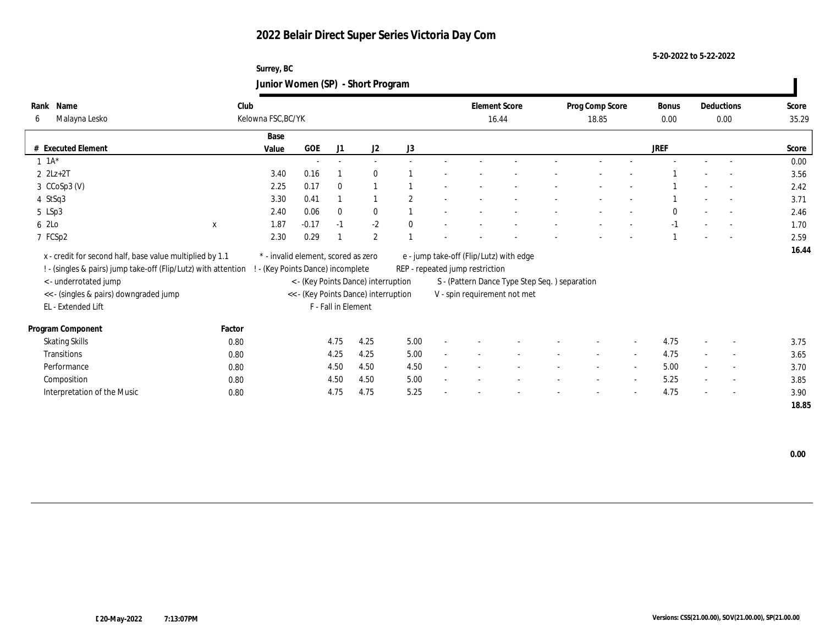#### **Surrey, BC Junior Women (SP) - Short Program**

| Name<br>Rank                                                   | Club               |                                     |                     |                                      |                | <b>Element Score</b>                    |                                               | Prog Comp Score          |                          | <b>Bonus</b> |        | Deductions               | Score |
|----------------------------------------------------------------|--------------------|-------------------------------------|---------------------|--------------------------------------|----------------|-----------------------------------------|-----------------------------------------------|--------------------------|--------------------------|--------------|--------|--------------------------|-------|
| Malayna Lesko<br>6                                             | Kelowna FSC, BC/YK |                                     |                     |                                      |                | 16.44                                   |                                               | 18.85                    |                          | $0.00\,$     |        | 0.00                     | 35.29 |
|                                                                | Base               |                                     |                     |                                      |                |                                         |                                               |                          |                          |              |        |                          |       |
| # Executed Element                                             | Value              | GOE                                 | J1                  | J2                                   | J3             |                                         |                                               |                          |                          | <b>JREF</b>  |        |                          | Score |
| $1 \t1A*$                                                      |                    |                                     |                     |                                      |                |                                         |                                               |                          |                          |              |        |                          | 0.00  |
| $2$ $2Lz+2T$                                                   | 3.40               | 0.16                                |                     | $\mathbf{0}$                         |                |                                         |                                               |                          |                          |              |        |                          | 3.56  |
| $3$ $CCoSp3$ (V)                                               | 2.25               | 0.17                                | $\mathbf{0}$        |                                      |                |                                         |                                               |                          |                          |              |        |                          | 2.42  |
| 4 StSq3                                                        | 3.30               | 0.41                                |                     |                                      | $\overline{2}$ |                                         |                                               |                          |                          |              |        |                          | 3.71  |
| 5 LSp3                                                         | 2.40               | 0.06                                | $\mathbf{0}$        | $\mathbf{0}$                         |                |                                         |                                               | ٠                        |                          | $\mathbf{0}$ | $\sim$ | $\overline{a}$           | 2.46  |
| 6 2Lo<br>$\mathbf{x}$                                          | 1.87               | $-0.17$                             | $-1$                | $-2$                                 | $\mathbf{0}$   |                                         |                                               |                          |                          | $-1$         |        |                          | 1.70  |
| 7 FCSp2                                                        | 2.30               | 0.29                                |                     | $\overline{2}$                       |                |                                         |                                               |                          |                          |              |        | $\sim$                   | 2.59  |
| x - credit for second half, base value multiplied by 1.1       |                    | * - invalid element, scored as zero |                     |                                      |                | e - jump take-off (Flip/Lutz) with edge |                                               |                          |                          |              |        |                          | 16.44 |
| ! - (singles & pairs) jump take-off (Flip/Lutz) with attention |                    | - (Key Points Dance) incomplete     |                     |                                      |                | REP - repeated jump restriction         |                                               |                          |                          |              |        |                          |       |
| <- underrotated jump                                           |                    |                                     |                     | < - (Key Points Dance) interruption  |                |                                         | S - (Pattern Dance Type Step Seq.) separation |                          |                          |              |        |                          |       |
| << - (singles & pairs) downgraded jump                         |                    |                                     |                     | << - (Key Points Dance) interruption |                |                                         | V - spin requirement not met                  |                          |                          |              |        |                          |       |
| EL - Extended Lift                                             |                    |                                     | F - Fall in Element |                                      |                |                                         |                                               |                          |                          |              |        |                          |       |
| Program Component                                              | Factor             |                                     |                     |                                      |                |                                         |                                               |                          |                          |              |        |                          |       |
| <b>Skating Skills</b>                                          | 0.80               |                                     | 4.75                | 4.25                                 | 5.00           |                                         |                                               |                          | $\overline{\phantom{a}}$ | 4.75         |        | $\sim$                   | 3.75  |
| Transitions                                                    | 0.80               |                                     | 4.25                | 4.25                                 | 5.00           |                                         |                                               |                          | $\overline{\phantom{a}}$ | 4.75         |        | $\sim$                   | 3.65  |
| Performance                                                    | 0.80               |                                     | 4.50                | 4.50                                 | 4.50           |                                         |                                               | $\overline{\phantom{a}}$ | $\sim$                   | 5.00         | $\sim$ | $\sim$                   | 3.70  |
| Composition                                                    | 0.80               |                                     | 4.50                | 4.50                                 | 5.00           |                                         |                                               |                          |                          | 5.25         |        | $\overline{\phantom{a}}$ | 3.85  |
| Interpretation of the Music                                    | 0.80               |                                     | 4.75                | 4.75                                 | 5.25           |                                         |                                               |                          |                          | 4.75         |        | $\overline{a}$           | 3.90  |
|                                                                |                    |                                     |                     |                                      |                |                                         |                                               |                          |                          |              |        |                          | 18.85 |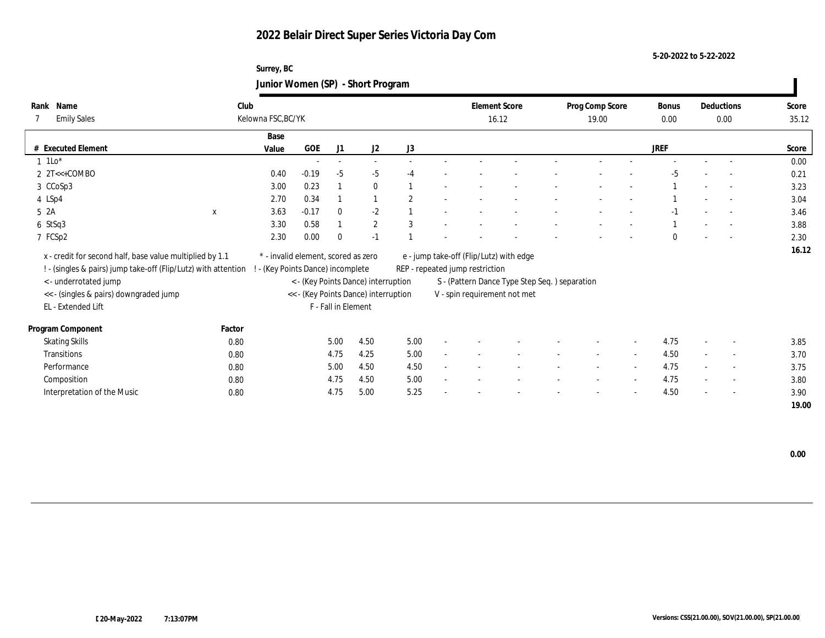#### **Surrey, BC Junior Women (SP) - Short Program**

| Name<br>Rank                                                   | Club        |                                     |                               |                     |                                      |                |                                 | <b>Element Score</b>                          | Prog Comp Score          |                          | Bonus       |                          | Deductions               | Score |
|----------------------------------------------------------------|-------------|-------------------------------------|-------------------------------|---------------------|--------------------------------------|----------------|---------------------------------|-----------------------------------------------|--------------------------|--------------------------|-------------|--------------------------|--------------------------|-------|
| <b>Emily Sales</b><br>7                                        |             | Kelowna FSC, BC/YK                  |                               |                     |                                      |                |                                 | 16.12                                         | 19.00                    |                          | $0.00\,$    |                          | 0.00                     | 35.12 |
|                                                                |             | Base                                |                               |                     |                                      |                |                                 |                                               |                          |                          |             |                          |                          |       |
| # Executed Element                                             |             | Value                               | GOE                           | J1                  | J2                                   | J3             |                                 |                                               |                          |                          | <b>JREF</b> |                          |                          | Score |
| $1$ 1Lo <sup>*</sup>                                           |             |                                     | $\sim$                        | $\sim$              | $\sim$                               |                |                                 |                                               |                          |                          |             |                          |                          | 0.00  |
| $2$ 2T<<+COMBO                                                 |             | 0.40                                | $-0.19$                       | $-5$                | $-5$                                 | $-4$           |                                 |                                               |                          |                          | -5          |                          |                          | 0.21  |
| 3 CCoSp3                                                       |             | 3.00                                | 0.23                          |                     | $\bf{0}$                             |                |                                 |                                               |                          |                          |             |                          |                          | 3.23  |
| 4 LSp4                                                         |             | 2.70                                | 0.34                          |                     |                                      | $\overline{2}$ |                                 |                                               |                          |                          |             |                          |                          | 3.04  |
| 5 2A                                                           | $\mathbf x$ | 3.63                                | $-0.17$                       | $\bf{0}$            | $-2$                                 |                |                                 |                                               |                          |                          | -1          |                          | $\overline{a}$           | 3.46  |
| $6$ StSq3                                                      |             | 3.30                                | 0.58                          |                     | $\mathbf{2}$                         | 3              |                                 |                                               |                          |                          |             |                          | $\overline{\phantom{a}}$ | 3.88  |
| 7 FCSp2                                                        |             | 2.30                                | 0.00                          | $\mathbf{0}$        | $-1$                                 |                |                                 |                                               |                          |                          | $\Omega$    |                          | $\sim$                   | 2.30  |
| x - credit for second half, base value multiplied by 1.1       |             | * - invalid element, scored as zero |                               |                     |                                      |                |                                 | e - jump take-off (Flip/Lutz) with edge       |                          |                          |             |                          |                          | 16.12 |
| ! - (singles & pairs) jump take-off (Flip/Lutz) with attention |             |                                     | (Key Points Dance) incomplete |                     |                                      |                | REP - repeated jump restriction |                                               |                          |                          |             |                          |                          |       |
| <- underrotated jump                                           |             |                                     |                               |                     | < - (Key Points Dance) interruption  |                |                                 | S - (Pattern Dance Type Step Seq.) separation |                          |                          |             |                          |                          |       |
| << - (singles & pairs) downgraded jump                         |             |                                     |                               |                     | << - (Key Points Dance) interruption |                |                                 | V - spin requirement not met                  |                          |                          |             |                          |                          |       |
| EL - Extended Lift                                             |             |                                     |                               | F - Fall in Element |                                      |                |                                 |                                               |                          |                          |             |                          |                          |       |
|                                                                |             |                                     |                               |                     |                                      |                |                                 |                                               |                          |                          |             |                          |                          |       |
| Program Component                                              | Factor      |                                     |                               |                     |                                      |                |                                 |                                               |                          |                          |             |                          |                          |       |
| <b>Skating Skills</b>                                          | 0.80        |                                     |                               | 5.00                | 4.50                                 | 5.00           |                                 |                                               |                          | $\sim$                   | 4.75        |                          | $\overline{\phantom{a}}$ | 3.85  |
| <b>Transitions</b>                                             | 0.80        |                                     |                               | 4.75                | 4.25                                 | 5.00           |                                 |                                               | $\overline{\phantom{a}}$ | $\sim$                   | 4.50        | $\sim$                   | $\overline{\phantom{a}}$ | 3.70  |
| Performance                                                    | 0.80        |                                     |                               | 5.00                | 4.50                                 | 4.50           |                                 |                                               |                          | $\overline{\phantom{a}}$ | 4.75        |                          | $\overline{\phantom{a}}$ | 3.75  |
| Composition                                                    | 0.80        |                                     |                               | 4.75                | 4.50                                 | 5.00           |                                 |                                               |                          |                          | 4.75        |                          | $\sim$                   | 3.80  |
| Interpretation of the Music                                    | 0.80        |                                     |                               | 4.75                | 5.00                                 | 5.25           |                                 |                                               |                          | $\overline{\phantom{a}}$ | 4.50        | $\overline{\phantom{a}}$ | $\overline{\phantom{a}}$ | 3.90  |
|                                                                |             |                                     |                               |                     |                                      |                |                                 |                                               |                          |                          |             |                          |                          | 19.00 |

 **0.00**

 $\blacksquare$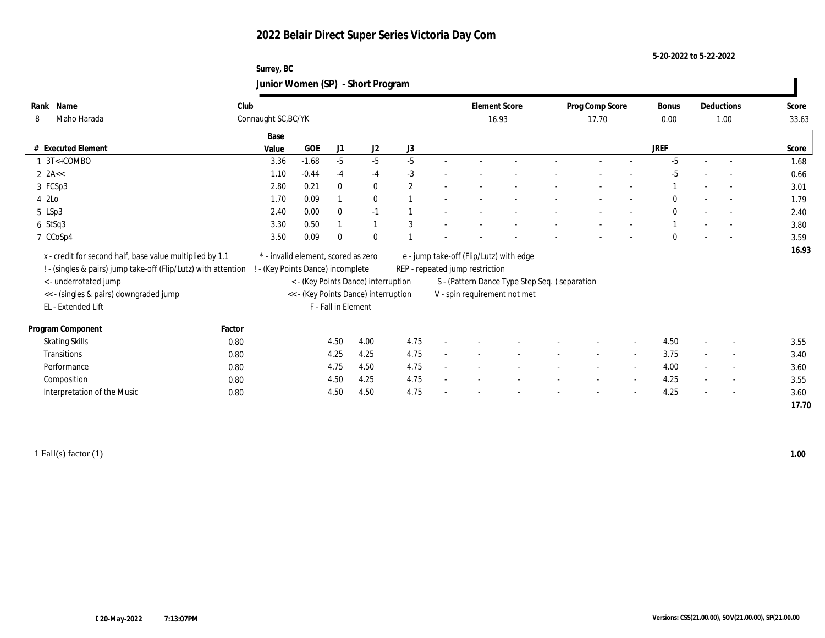**Surrey, BC Junior Women (SP) - Short Program**

| Name<br>Rank                                                                                     | Club                |                                     |                     |                                      |      | <b>Element Score</b>            |                                               | Prog Comp Score          |                          | Bonus        | Deductions               | Score |
|--------------------------------------------------------------------------------------------------|---------------------|-------------------------------------|---------------------|--------------------------------------|------|---------------------------------|-----------------------------------------------|--------------------------|--------------------------|--------------|--------------------------|-------|
| Maho Harada<br>8                                                                                 | Connaught SC, BC/YK |                                     |                     |                                      |      |                                 | 16.93                                         | 17.70                    |                          | $0.00\,$     | 1.00                     | 33.63 |
|                                                                                                  |                     | Base                                |                     |                                      |      |                                 |                                               |                          |                          |              |                          |       |
| <b>Executed Element</b>                                                                          |                     | GOE<br>Value                        | J1                  | J2                                   | J3   |                                 |                                               |                          |                          | <b>JREF</b>  |                          | Score |
| $1 \text{ } 3T < +$ COMBO                                                                        |                     | $-1.68$<br>3.36                     | $-5$                | $-5$                                 | $-5$ |                                 |                                               |                          |                          | $-5$         | $\sim$                   | 1.68  |
| $2$ 2A <<                                                                                        |                     | $-0.44$<br>1.10                     | $-4$                | $-4$                                 | $-3$ |                                 |                                               |                          |                          | $-5$         |                          | 0.66  |
| 3 FCSp3                                                                                          |                     | 0.21<br>2.80                        | $\mathbf{0}$        | $\bf{0}$                             | 2    |                                 |                                               |                          |                          |              |                          | 3.01  |
| 4 2Lo                                                                                            |                     | 1.70<br>0.09                        |                     | $\bf{0}$                             |      |                                 |                                               |                          |                          | $\bf{0}$     |                          | 1.79  |
| 5 LSp3                                                                                           |                     | 0.00<br>2.40                        | $\mathbf{0}$        | $-1$                                 |      |                                 |                                               |                          |                          | $\mathbf{0}$ |                          | 2.40  |
| $6$ StSq3                                                                                        |                     | 0.50<br>3.30                        |                     | $\mathbf{1}$                         | 3    |                                 |                                               |                          |                          |              |                          | 3.80  |
| 7 CCoSp4                                                                                         |                     | 3.50<br>0.09                        | $\mathbf{0}$        | $\mathbf{0}$                         |      |                                 |                                               |                          |                          | $\theta$     |                          | 3.59  |
| x - credit for second half, base value multiplied by 1.1                                         |                     | * - invalid element, scored as zero |                     |                                      |      |                                 | e - jump take-off (Flip/Lutz) with edge       |                          |                          |              |                          | 16.93 |
| ! - (singles & pairs) jump take-off (Flip/Lutz) with attention ! - (Key Points Dance) incomplete |                     |                                     |                     |                                      |      | REP - repeated jump restriction |                                               |                          |                          |              |                          |       |
| < - underrotated jump                                                                            |                     |                                     |                     | < - (Key Points Dance) interruption  |      |                                 | S - (Pattern Dance Type Step Seq.) separation |                          |                          |              |                          |       |
| << - (singles & pairs) downgraded jump                                                           |                     |                                     |                     | << - (Key Points Dance) interruption |      |                                 | V - spin requirement not met                  |                          |                          |              |                          |       |
| EL - Extended Lift                                                                               |                     |                                     | F - Fall in Element |                                      |      |                                 |                                               |                          |                          |              |                          |       |
|                                                                                                  |                     |                                     |                     |                                      |      |                                 |                                               |                          |                          |              |                          |       |
| Program Component                                                                                | Factor              |                                     |                     |                                      |      |                                 |                                               |                          |                          |              |                          |       |
| <b>Skating Skills</b>                                                                            | 0.80                |                                     | 4.50                | 4.00                                 | 4.75 |                                 |                                               |                          |                          | 4.50         | $\sim$                   | 3.55  |
| <b>Transitions</b>                                                                               | 0.80                |                                     | 4.25                | 4.25                                 | 4.75 |                                 |                                               |                          | $\sim$                   | 3.75         | $\overline{\phantom{a}}$ | 3.40  |
| Performance                                                                                      | 0.80                |                                     | 4.75                | 4.50                                 | 4.75 |                                 |                                               |                          | $\overline{\phantom{a}}$ | 4.00         | $\overline{\phantom{a}}$ | 3.60  |
| Composition                                                                                      | 0.80                |                                     | 4.50                | 4.25                                 | 4.75 |                                 |                                               | $\overline{\phantom{a}}$ | $\sim$                   | 4.25         | $\sim$                   | 3.55  |
| Interpretation of the Music                                                                      | 0.80                |                                     | 4.50                | 4.50                                 | 4.75 |                                 |                                               |                          |                          | 4.25         | $\overline{\phantom{a}}$ | 3.60  |
|                                                                                                  |                     |                                     |                     |                                      |      |                                 |                                               |                          |                          |              |                          | 17.70 |
|                                                                                                  |                     |                                     |                     |                                      |      |                                 |                                               |                          |                          |              |                          |       |

1 Fall(s) factor (1) **1.00**